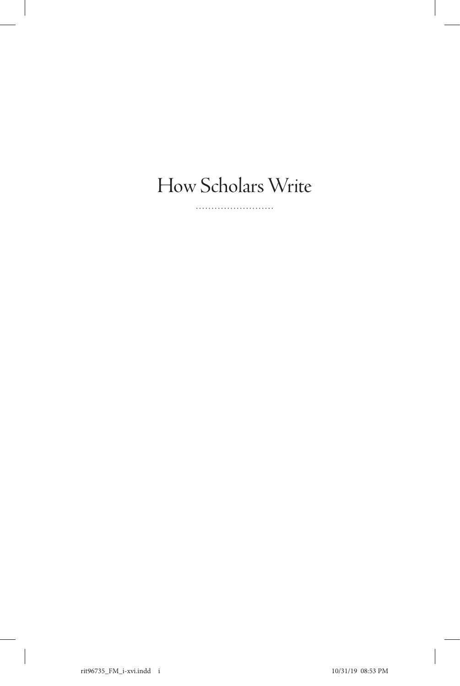# How Scholars Write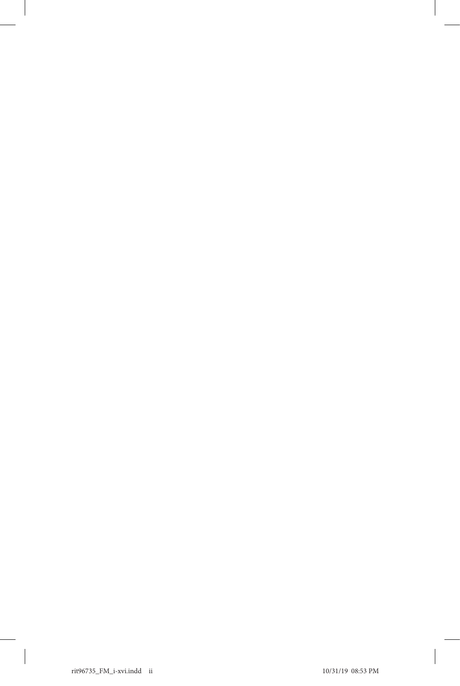$\overline{\phantom{a}}$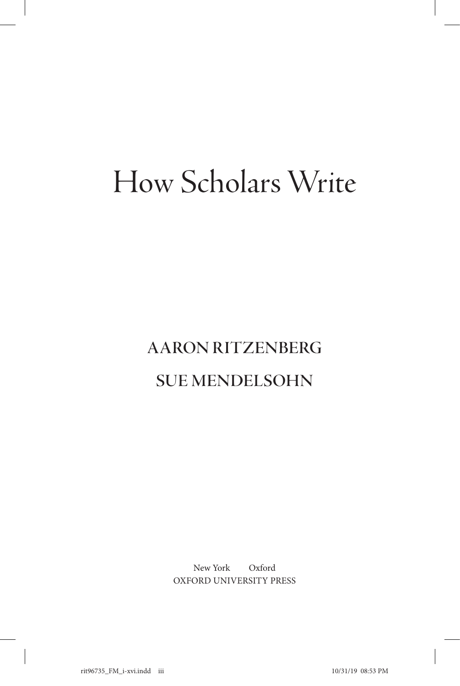# How Scholars Write

# **AARON RITZENBERG SUE MENDELSOHN**

New York Oxford OXFORD UNIVERSITY PRESS

rit96735\_FM\_i-xvi.indd iii 10/31/19 08:53 PM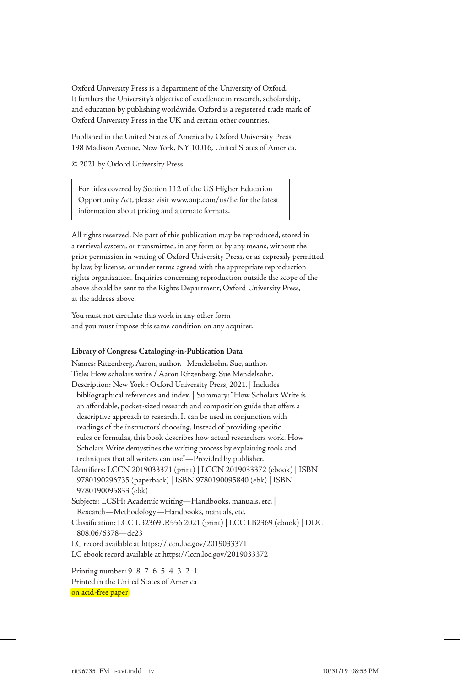Oxford University Press is a department of the University of Oxford. It furthers the University's objective of excellence in research, scholarship, and education by publishing worldwide. Oxford is a registered trade mark of Oxford University Press in the UK and certain other countries.

Published in the United States of America by Oxford University Press 198 Madison Avenue, New York, NY 10016, United States of America.

© 2021 by Oxford University Press

For titles covered by Section 112 of the US Higher Education Opportunity Act, please visit www.oup.com/us/he for the latest information about pricing and alternate formats.

All rights reserved. No part of this publication may be reproduced, stored in a retrieval system, or transmitted, in any form or by any means, without the prior permission in writing of Oxford University Press, or as expressly permitted by law, by license, or under terms agreed with the appropriate reproduction rights organization. Inquiries concerning reproduction outside the scope of the above should be sent to the Rights Department, Oxford University Press, at the address above.

You must not circulate this work in any other form and you must impose this same condition on any acquirer.

#### **Library of Congress Cataloging-in-Publication Data**

Names: Ritzenberg, Aaron, author. | Mendelsohn, Sue, author. Title: How scholars write / Aaron Ritzenberg, Sue Mendelsohn. Description: New York : Oxford University Press, 2021. | Includes bibliographical references and index. | Summary: "How Scholars Write is an affordable, pocket-sized research and composition guide that offers a descriptive approach to research. It can be used in conjunction with readings of the instructors' choosing, Instead of providing specific rules or formulas, this book describes how actual researchers work. How Scholars Write demystifies the writing process by explaining tools and techniques that all writers can use"—Provided by publisher. Identifiers: LCCN 2019033371 (print) | LCCN 2019033372 (ebook) | ISBN 9780190296735 (paperback) | ISBN 9780190095840 (ebk) | ISBN 9780190095833 (ebk) Subjects: LCSH: Academic writing—Handbooks, manuals, etc. | Research—Methodology—Handbooks, manuals, etc. Classification: LCC LB2369 .R556 2021 (print) | LCC LB2369 (ebook) | DDC 808.06/6378—dc23 LC record available at https://lccn.loc.gov/2019033371 LC ebook record available at https://lccn.loc.gov/2019033372 Printing number: 9 8 7 6 5 4 3 2 1 Printed in the United States of America

on acid-free paper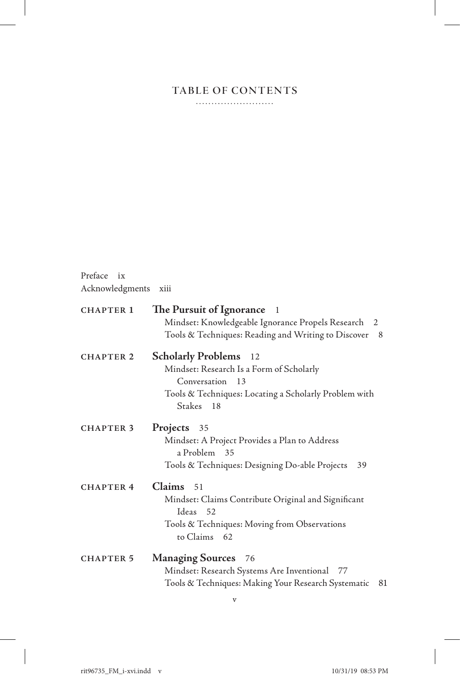## **TABLE OF CONTENTS**

Preface ix Acknowledgments xiii

| <b>CHAPTER 1</b> | The Pursuit of Ignorance<br>$\mathbf{1}$                            |
|------------------|---------------------------------------------------------------------|
|                  | Mindset: Knowledgeable Ignorance Propels Research<br>$\overline{2}$ |
|                  | Tools & Techniques: Reading and Writing to Discover<br>- 8          |
| <b>CHAPTER 2</b> | <b>Scholarly Problems</b> 12                                        |
|                  | Mindset: Research Is a Form of Scholarly                            |
|                  | Conversation<br>- 13                                                |
|                  | Tools & Techniques: Locating a Scholarly Problem with               |
|                  | <b>Stakes</b><br>- 18                                               |
| <b>CHAPTER 3</b> | Projects 35                                                         |
|                  | Mindset: A Project Provides a Plan to Address                       |
|                  | a Problem 35                                                        |
|                  | Tools & Techniques: Designing Do-able Projects<br>39                |
| <b>CHAPTER 4</b> | <b>Claims</b><br>51                                                 |
|                  | Mindset: Claims Contribute Original and Significant                 |
|                  | Ideas 52                                                            |
|                  | Tools & Techniques: Moving from Observations                        |
|                  | to Claims<br>62                                                     |
| <b>CHAPTER 5</b> | <b>Managing Sources</b> 76                                          |
|                  | Mindset: Research Systems Are Inventional 77                        |
|                  | Tools & Techniques: Making Your Research Systematic<br>81           |

v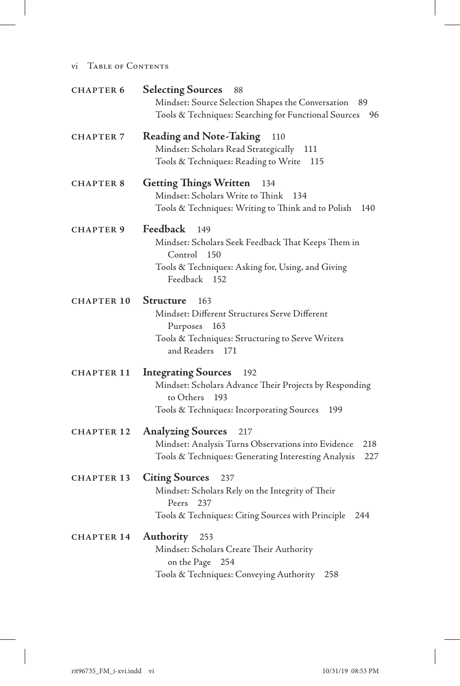### vi Table of Contents

 $\overline{\phantom{a}}$ 

| <b>CHAPTER 6</b>  | <b>Selecting Sources</b><br>88                                                                                                                                      |
|-------------------|---------------------------------------------------------------------------------------------------------------------------------------------------------------------|
|                   | Mindset: Source Selection Shapes the Conversation<br>89<br>Tools & Techniques: Searching for Functional Sources<br>96                                               |
| <b>CHAPTER 7</b>  | <b>Reading and Note-Taking</b><br>110<br>Mindset: Scholars Read Strategically<br>111<br>Tools & Techniques: Reading to Write<br>115                                 |
| <b>CHAPTER 8</b>  | <b>Getting Things Written</b><br>134<br>Mindset: Scholars Write to Think<br>134<br>Tools & Techniques: Writing to Think and to Polish<br>140                        |
| <b>CHAPTER 9</b>  | Feedback<br>149<br>Mindset: Scholars Seek Feedback That Keeps Them in<br>Control 150<br>Tools & Techniques: Asking for, Using, and Giving<br>Feedback 152           |
| <b>CHAPTER 10</b> | Structure<br>163<br>Mindset: Different Structures Serve Different<br>163<br>Purposes<br>Tools & Techniques: Structuring to Serve Writers<br>and Readers 171         |
| <b>CHAPTER 11</b> | <b>Integrating Sources</b><br>192<br>Mindset: Scholars Advance Their Projects by Responding<br>to Others<br>193<br>Tools & Techniques: Incorporating Sources<br>199 |
| <b>CHAPTER 12</b> | <b>Analyzing Sources</b><br>217<br>Mindset: Analysis Turns Observations into Evidence<br>218<br>Tools & Techniques: Generating Interesting Analysis<br>227          |
| <b>CHAPTER 13</b> | <b>Citing Sources</b><br>237<br>Mindset: Scholars Rely on the Integrity of Their<br>Peers<br>237<br>Tools & Techniques: Citing Sources with Principle<br>244        |
| <b>CHAPTER 14</b> | Authority<br>253<br>Mindset: Scholars Create Their Authority<br>on the Page 254<br>Tools & Techniques: Conveying Authority<br>258                                   |
|                   |                                                                                                                                                                     |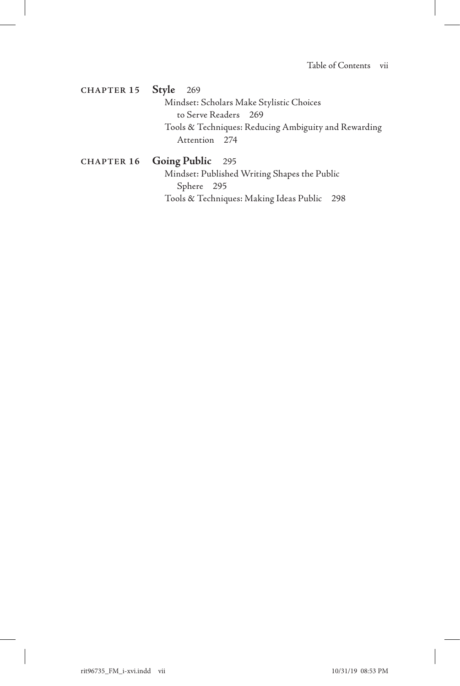#### **CHAPTER 15 Style** 269

Mindset: Scholars Make Stylistic Choices to Serve Readers 269 Tools & Techniques: Reducing Ambiguity and Rewarding Attention 274

## **CHAPTER 16 Going Public** 295

Mindset: Published Writing Shapes the Public Sphere 295 Tools & Techniques: Making Ideas Public 298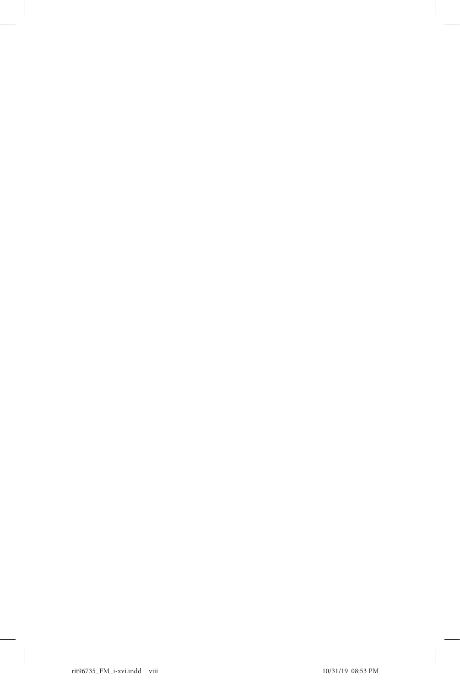$\overline{\phantom{a}}$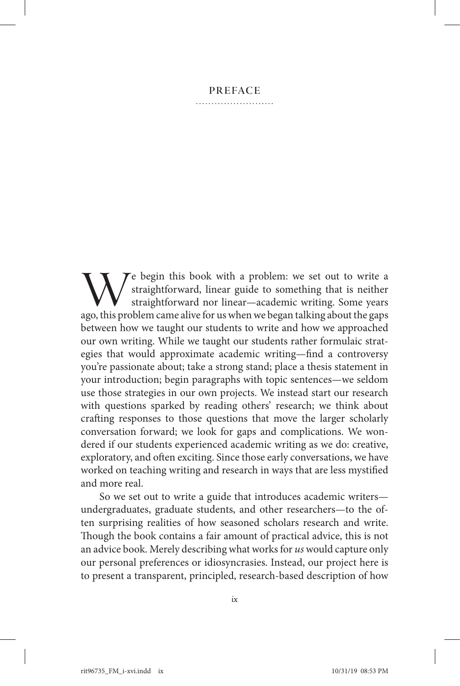#### **PREFAC E**

We begin this book with a problem: we set out to write a straightforward, linear guide to something that is neither straightforward nor linear—academic writing. Some years ago, this problem came alive for us when we began talking about the gaps between how we taught our students to write and how we approached our own writing. While we taught our students rather formulaic strategies that would approximate academic writing—find a controversy you're passionate about; take a strong stand; place a thesis statement in your introduction; begin paragraphs with topic sentences—we seldom use those strategies in our own projects. We instead start our research with questions sparked by reading others' research; we think about crafting responses to those questions that move the larger scholarly conversation forward; we look for gaps and complications. We wondered if our students experienced academic writing as we do: creative, exploratory, and often exciting. Since those early conversations, we have worked on teaching writing and research in ways that are less mystified and more real.

So we set out to write a guide that introduces academic writers undergraduates, graduate students, and other researchers—to the often surprising realities of how seasoned scholars research and write. Though the book contains a fair amount of practical advice, this is not an advice book. Merely describing what works for *us* would capture only our personal preferences or idiosyncrasies. Instead, our project here is to present a transparent, principled, research-based description of how

ix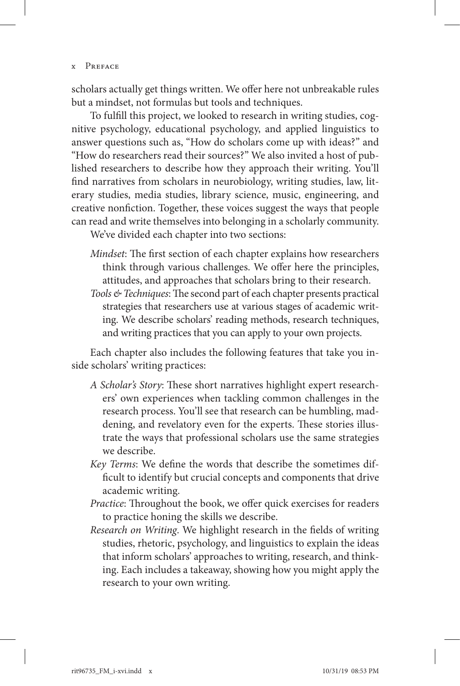x Preface

scholars actually get things written. We offer here not unbreakable rules but a mindset, not formulas but tools and techniques.

To fulfill this project, we looked to research in writing studies, cognitive psychology, educational psychology, and applied linguistics to answer questions such as, "How do scholars come up with ideas?" and "How do researchers read their sources?" We also invited a host of published researchers to describe how they approach their writing. You'll find narratives from scholars in neurobiology, writing studies, law, literary studies, media studies, library science, music, engineering, and creative nonfiction. Together, these voices suggest the ways that people can read and write themselves into belonging in a scholarly community.

We've divided each chapter into two sections:

*Mindset*: The first section of each chapter explains how researchers think through various challenges. We offer here the principles, attitudes, and approaches that scholars bring to their research.

*Tools & Techniques*: The second part of each chapter presents practical strategies that researchers use at various stages of academic writing. We describe scholars' reading methods, research techniques, and writing practices that you can apply to your own projects.

Each chapter also includes the following features that take you inside scholars' writing practices:

- *A Scholar's Story*: These short narratives highlight expert researchers' own experiences when tackling common challenges in the research process. You'll see that research can be humbling, maddening, and revelatory even for the experts. These stories illustrate the ways that professional scholars use the same strategies we describe.
- *Key Terms*: We define the words that describe the sometimes difficult to identify but crucial concepts and components that drive academic writing.
- *Practice*: Throughout the book, we offer quick exercises for readers to practice honing the skills we describe.
- *Research on Writing*. We highlight research in the fields of writing studies, rhetoric, psychology, and linguistics to explain the ideas that inform scholars' approaches to writing, research, and thinking. Each includes a takeaway, showing how you might apply the research to your own writing.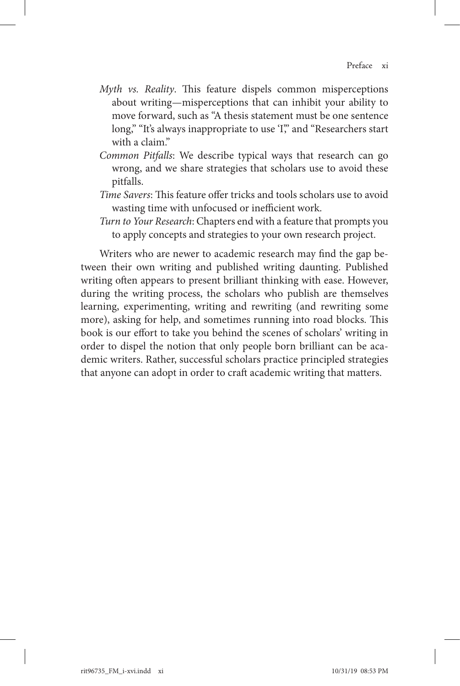- *Myth vs. Reality*. This feature dispels common misperceptions about writing—misperceptions that can inhibit your ability to move forward, such as "A thesis statement must be one sentence long," "It's always inappropriate to use 'I," and "Researchers start with a claim."
- *Common Pitfalls*: We describe typical ways that research can go wrong, and we share strategies that scholars use to avoid these pitfalls.
- *Time Savers*: This feature offer tricks and tools scholars use to avoid wasting time with unfocused or inefficient work.
- *Turn to Your Research*: Chapters end with a feature that prompts you to apply concepts and strategies to your own research project.

Writers who are newer to academic research may find the gap between their own writing and published writing daunting. Published writing often appears to present brilliant thinking with ease. However, during the writing process, the scholars who publish are themselves learning, experimenting, writing and rewriting (and rewriting some more), asking for help, and sometimes running into road blocks. This book is our effort to take you behind the scenes of scholars' writing in order to dispel the notion that only people born brilliant can be academic writers. Rather, successful scholars practice principled strategies that anyone can adopt in order to craft academic writing that matters.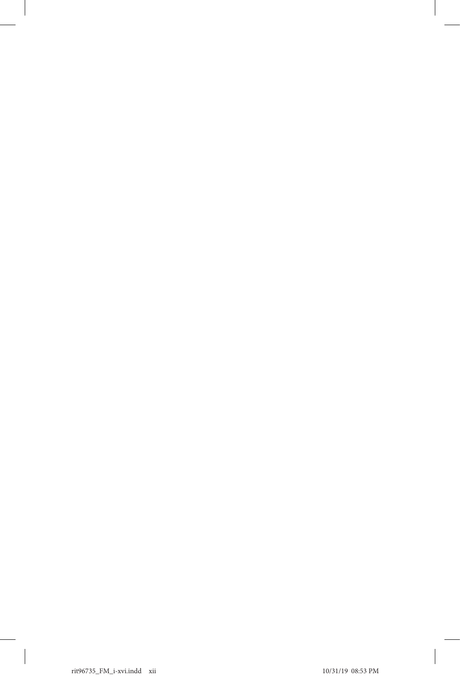$\overline{\phantom{a}}$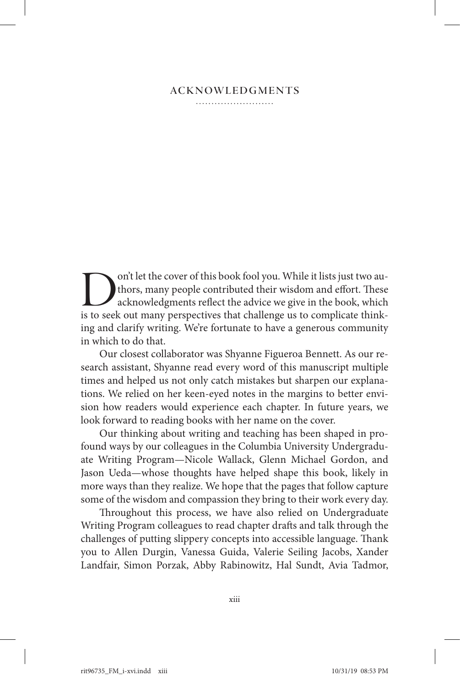#### **ACKNOWLEDGMENTS**

On't let the cover of this book fool you. While it lists just two au-<br>thors, many people contributed their wisdom and effort. These<br>acknowledgments reflect the advice we give in the book, which<br>is to seek out many perspect thors, many people contributed their wisdom and effort. These acknowledgments reflect the advice we give in the book, which is to seek out many perspectives that challenge us to complicate thinking and clarify writing. We're fortunate to have a generous community in which to do that.

Our closest collaborator was Shyanne Figueroa Bennett. As our research assistant, Shyanne read every word of this manuscript multiple times and helped us not only catch mistakes but sharpen our explanations. We relied on her keen-eyed notes in the margins to better envision how readers would experience each chapter. In future years, we look forward to reading books with her name on the cover.

Our thinking about writing and teaching has been shaped in profound ways by our colleagues in the Columbia University Undergraduate Writing Program—Nicole Wallack, Glenn Michael Gordon, and Jason Ueda—whose thoughts have helped shape this book, likely in more ways than they realize. We hope that the pages that follow capture some of the wisdom and compassion they bring to their work every day.

Throughout this process, we have also relied on Undergraduate Writing Program colleagues to read chapter drafts and talk through the challenges of putting slippery concepts into accessible language. Thank you to Allen Durgin, Vanessa Guida, Valerie Seiling Jacobs, Xander Landfair, Simon Porzak, Abby Rabinowitz, Hal Sundt, Avia Tadmor,

xiii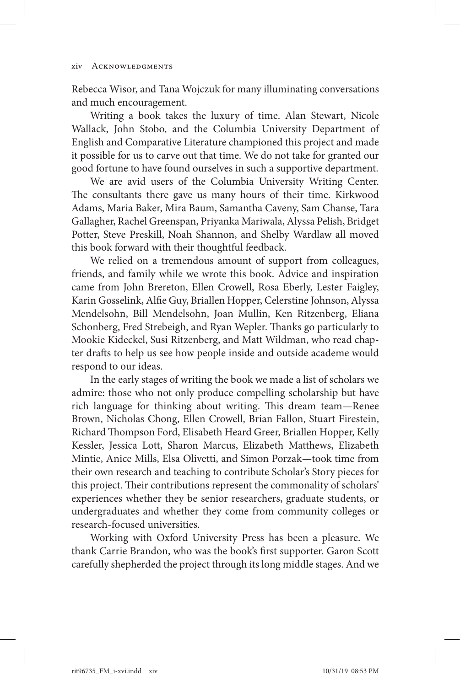Rebecca Wisor, and Tana Wojczuk for many illuminating conversations and much encouragement.

Writing a book takes the luxury of time. Alan Stewart, Nicole Wallack, John Stobo, and the Columbia University Department of English and Comparative Literature championed this project and made it possible for us to carve out that time. We do not take for granted our good fortune to have found ourselves in such a supportive department.

We are avid users of the Columbia University Writing Center. The consultants there gave us many hours of their time. Kirkwood Adams, Maria Baker, Mira Baum, Samantha Caveny, Sam Chanse, Tara Gallagher, Rachel Greenspan, Priyanka Mariwala, Alyssa Pelish, Bridget Potter, Steve Preskill, Noah Shannon, and Shelby Wardlaw all moved this book forward with their thoughtful feedback.

We relied on a tremendous amount of support from colleagues, friends, and family while we wrote this book. Advice and inspiration came from John Brereton, Ellen Crowell, Rosa Eberly, Lester Faigley, Karin Gosselink, Alfie Guy, Briallen Hopper, Celerstine Johnson, Alyssa Mendelsohn, Bill Mendelsohn, Joan Mullin, Ken Ritzenberg, Eliana Schonberg, Fred Strebeigh, and Ryan Wepler. Thanks go particularly to Mookie Kideckel, Susi Ritzenberg, and Matt Wildman, who read chapter drafts to help us see how people inside and outside academe would respond to our ideas.

In the early stages of writing the book we made a list of scholars we admire: those who not only produce compelling scholarship but have rich language for thinking about writing. This dream team—Renee Brown, Nicholas Chong, Ellen Crowell, Brian Fallon, Stuart Firestein, Richard Thompson Ford, Elisabeth Heard Greer, Briallen Hopper, Kelly Kessler, Jessica Lott, Sharon Marcus, Elizabeth Matthews, Elizabeth Mintie, Anice Mills, Elsa Olivetti, and Simon Porzak—took time from their own research and teaching to contribute Scholar's Story pieces for this project. Their contributions represent the commonality of scholars' experiences whether they be senior researchers, graduate students, or undergraduates and whether they come from community colleges or research-focused universities.

Working with Oxford University Press has been a pleasure. We thank Carrie Brandon, who was the book's first supporter. Garon Scott carefully shepherded the project through its long middle stages. And we